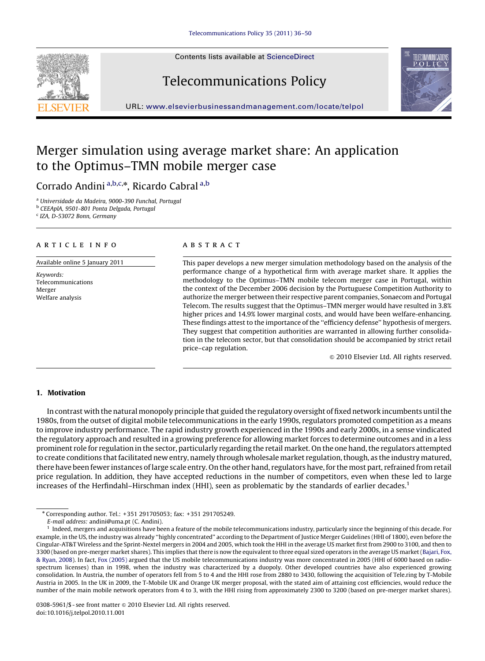Contents lists available at ScienceDirect

# Telecommunications Policy



URL: <www.elsevierbusinessandmanagement.com/locate/telpol>

### Merger simulation using average market share: An application to the Optimus–TMN mobile merger case

Corrado Andini <sup>a,b,c,\*</sup>, Ricardo Cabral <sup>a,b</sup>

<sup>a</sup> Universidade da Madeira, 9000-390 Funchal, Portugal <sup>b</sup> CEEAplA, 9501-801 Ponta Delgada, Portugal

<sup>c</sup> IZA, D-53072 Bonn, Germany

#### article info

Available online 5 January 2011

Keywords: Telecommunications Merger Welfare analysis

#### **ABSTRACT**

This paper develops a new merger simulation methodology based on the analysis of the performance change of a hypothetical firm with average market share. It applies the methodology to the Optimus–TMN mobile telecom merger case in Portugal, within the context of the December 2006 decision by the Portuguese Competition Authority to authorize the merger between their respective parent companies, Sonaecom and Portugal Telecom. The results suggest that the Optimus–TMN merger would have resulted in 3.8% higher prices and 14.9% lower marginal costs, and would have been welfare-enhancing. These findings attest to the importance of the ''efficiency defense'' hypothesis of mergers. They suggest that competition authorities are warranted in allowing further consolidation in the telecom sector, but that consolidation should be accompanied by strict retail price–cap regulation.

 $\odot$  2010 Elsevier Ltd. All rights reserved.

#### 1. Motivation

In contrast with the natural monopoly principle that guided the regulatory oversight of fixed network incumbents until the 1980s, from the outset of digital mobile telecommunications in the early 1990s, regulators promoted competition as a means to improve industry performance. The rapid industry growth experienced in the 1990s and early 2000s, in a sense vindicated the regulatory approach and resulted in a growing preference for allowing market forces to determine outcomes and in a less prominent role for regulation in the sector, particularly regarding the retail market. On the one hand, the regulators attempted to create conditions that facilitated new entry, namely through wholesale market regulation, though, as the industry matured, there have been fewer instances of large scale entry. On the other hand, regulators have, for the most part, refrained from retail price regulation. In addition, they have accepted reductions in the number of competitors, even when these led to large increases of the Herfindahl–Hirschman index (HHI), seen as problematic by the standards of earlier decades.<sup>1</sup>

<sup>n</sup> Corresponding author. Tel.: +351 291705053; fax: +351 291705249.

E-mail address: [andini@uma.pt \(C. Andini\)](mailto:andini@uma.pt).

<sup>1</sup> Indeed, mergers and acquisitions have been a feature of the mobile telecommunications industry, particularly since the beginning of this decade. For example, in the US, the industry was already ''highly concentrated'' according to the Department of Justice Merger Guidelines (HHI of 1800), even before the Cingular-AT&T Wireless and the Sprint-Nextel mergers in 2004 and 2005, which took the HHI in the average US market first from 2900 to 3100, and then to 3300 (based on pre-merger market shares). This implies that there is now the equivalent to three equal sized operators in the average US market [\(Bajari, Fox,](#page--1-0) [& Ryan, 2008](#page--1-0)). In fact, [Fox \(2005\)](#page--1-0) argued that the US mobile telecommunications industry was more concentrated in 2005 (HHI of 6000 based on radiospectrum licenses) than in 1998, when the industry was characterized by a duopoly. Other developed countries have also experienced growing consolidation. In Austria, the number of operators fell from 5 to 4 and the HHI rose from 2880 to 3430, following the acquisition of Tele.ring by T-Mobile Austria in 2005. In the UK in 2009, the T-Mobile UK and Orange UK merger proposal, with the stated aim of attaining cost efficiencies, would reduce the number of the main mobile network operators from 4 to 3, with the HHI rising from approximately 2300 to 3200 (based on pre-merger market shares).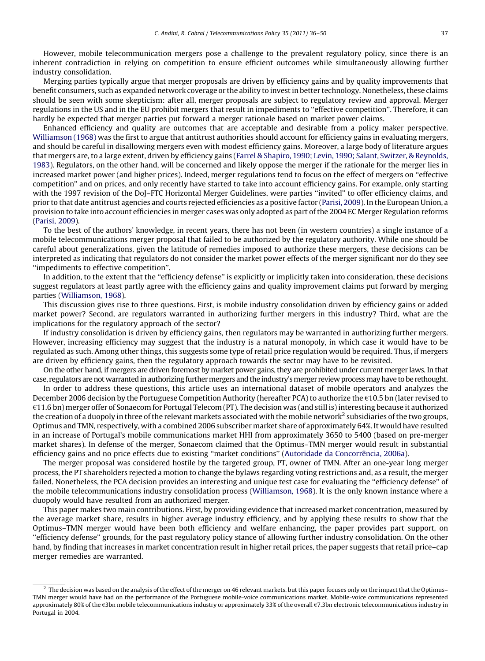However, mobile telecommunication mergers pose a challenge to the prevalent regulatory policy, since there is an inherent contradiction in relying on competition to ensure efficient outcomes while simultaneously allowing further industry consolidation.

Merging parties typically argue that merger proposals are driven by efficiency gains and by quality improvements that benefit consumers, such as expanded network coverage or the ability to invest in better technology. Nonetheless, these claims should be seen with some skepticism: after all, merger proposals are subject to regulatory review and approval. Merger regulations in the US and in the EU prohibit mergers that result in impediments to "effective competition". Therefore, it can hardly be expected that merger parties put forward a merger rationale based on market power claims.

Enhanced efficiency and quality are outcomes that are acceptable and desirable from a policy maker perspective. [Williamson \(1968\)](#page--1-0) was the first to argue that antitrust authorities should account for efficiency gains in evaluating mergers, and should be careful in disallowing mergers even with modest efficiency gains. Moreover, a large body of literature argues that mergers are, to a large extent, driven by efficiency gains [\(Farrel & Shapiro, 1990; Levin, 1990; Salant, Switzer,](#page--1-0) & [Reynolds,](#page--1-0) [1983](#page--1-0)). Regulators, on the other hand, will be concerned and likely oppose the merger if the rationale for the merger lies in increased market power (and higher prices). Indeed, merger regulations tend to focus on the effect of mergers on ''effective competition'' and on prices, and only recently have started to take into account efficiency gains. For example, only starting with the 1997 revision of the DoJ–FTC Horizontal Merger Guidelines, were parties "invited" to offer efficiency claims, and prior to that date antitrust agencies and courts rejected efficiencies as a positive factor [\(Parisi, 2009](#page--1-0)). In the European Union, a provision to take into account efficiencies in merger cases was only adopted as part of the 2004 EC Merger Regulation reforms ([Parisi, 2009\)](#page--1-0).

To the best of the authors' knowledge, in recent years, there has not been (in western countries) a single instance of a mobile telecommunications merger proposal that failed to be authorized by the regulatory authority. While one should be careful about generalizations, given the latitude of remedies imposed to authorize these mergers, these decisions can be interpreted as indicating that regulators do not consider the market power effects of the merger significant nor do they see ''impediments to effective competition''.

In addition, to the extent that the ''efficiency defense'' is explicitly or implicitly taken into consideration, these decisions suggest regulators at least partly agree with the efficiency gains and quality improvement claims put forward by merging parties ([Williamson, 1968](#page--1-0)).

This discussion gives rise to three questions. First, is mobile industry consolidation driven by efficiency gains or added market power? Second, are regulators warranted in authorizing further mergers in this industry? Third, what are the implications for the regulatory approach of the sector?

If industry consolidation is driven by efficiency gains, then regulators may be warranted in authorizing further mergers. However, increasing efficiency may suggest that the industry is a natural monopoly, in which case it would have to be regulated as such. Among other things, this suggests some type of retail price regulation would be required. Thus, if mergers are driven by efficiency gains, then the regulatory approach towards the sector may have to be revisited.

On the other hand, if mergers are driven foremost by market power gains, they are prohibited under current merger laws. In that case, regulators are not warranted in authorizing further mergers and the industry's merger review process may have to be rethought.

In order to address these questions, this article uses an international dataset of mobile operators and analyzes the December 2006 decision by the Portuguese Competition Authority (hereafter PCA) to authorize the  $\epsilon$ 10.5 bn (later revised to  $f(11.6)$  bn) merger offer of Sonaecom for Portugal Telecom (PT). The decision was (and still is) interesting because it authorized the creation of a duopoly in three of the relevant markets associated with the mobile network<sup>2</sup> subsidiaries of the two groups, Optimus and TMN, respectively, with a combined 2006 subscriber market share of approximately 64%. It would have resulted in an increase of Portugal's mobile communications market HHI from approximately 3650 to 5400 (based on pre-merger market shares). In defense of the merger, Sonaecom claimed that the Optimus–TMN merger would result in substantial efficiency gains and no price effects due to existing "market conditions" (Autoridade da Concorrência, 2006a).

The merger proposal was considered hostile by the targeted group, PT, owner of TMN. After an one-year long merger process, the PT shareholders rejected a motion to change the bylaws regarding voting restrictions and, as a result, the merger failed. Nonetheless, the PCA decision provides an interesting and unique test case for evaluating the ''efficiency defense'' of the mobile telecommunications industry consolidation process ([Williamson, 1968](#page--1-0)). It is the only known instance where a duopoly would have resulted from an authorized merger.

This paper makes two main contributions. First, by providing evidence that increased market concentration, measured by the average market share, results in higher average industry efficiency, and by applying these results to show that the Optimus–TMN merger would have been both efficiency and welfare enhancing, the paper provides part support, on ''efficiency defense'' grounds, for the past regulatory policy stance of allowing further industry consolidation. On the other hand, by finding that increases in market concentration result in higher retail prices, the paper suggests that retail price–cap merger remedies are warranted.

 $2\,$  The decision was based on the analysis of the effect of the merger on 46 relevant markets, but this paper focuses only on the impact that the Optimus– TMN merger would have had on the performance of the Portuguese mobile-voice communications market. Mobile-voice communications represented approximately 80% of the  $\epsilon$ 3bn mobile telecommunications industry or approximately 33% of the overall  $\epsilon$ 7.3bn electronic telecommunications industry in Portugal in 2004.